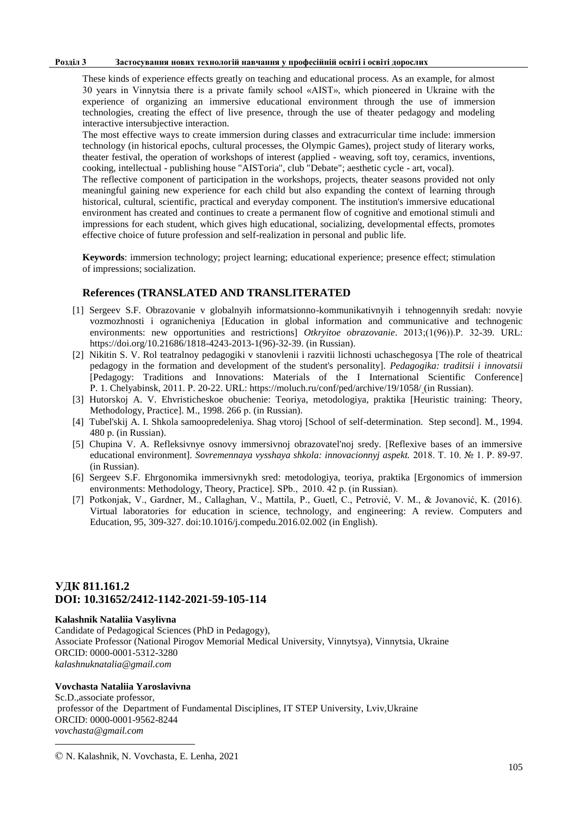#### **Розділ 3 Застосування нових технологій навчання у професійній освіті і освіті дорослих**

These kinds of experience effects greatly on teaching and educational process. As an example, for almost 30 years in Vinnytsia there is a private family school «AIST», which pioneered in Ukraine with the experience of organizing an immersive educational environment through the use of immersion technologies, creating the effect of live presence, through the use of theater pedagogy and modeling interactive intersubjective interaction.

The most effective ways to create immersion during classes and extracurricular time include: immersion technology (in historical epochs, cultural processes, the Olympic Games), project study of literary works, theater festival, the operation of workshops of interest (applied - weaving, soft toy, ceramics, inventions, cooking, intellectual - publishing house "AISToria", club "Debate"; aesthetic cycle - art, vocal).

The reflective component of participation in the workshops, projects, theater seasons provided not only meaningful gaining new experience for each child but also expanding the context of learning through historical, cultural, scientific, practical and everyday component. The institution's immersive educational environment has created and continues to create a permanent flow of cognitive and emotional stimuli and impressions for each student, which gives high educational, socializing, developmental effects, promotes effective choice of future profession and self-realization in personal and public life.

**Keywords**: immersion technology; project learning; educational experience; presence effect; stimulation of impressions; socialization.

## **References (TRANSLATED AND TRANSLITERATED**

- [1] Sergeev S.F. Obrazovanie v globalnyih informatsionno-kommunikativnyih i tehnogennyih sredah: novyie vozmozhnosti i ogranicheniya [Education in global information and communicative and technogenic environments: new opportunities and restrictions] *Otkryitoe obrazovanie*. 2013;(1(96)).Р. 32-39. URL: https://doi.org/10.21686/1818-4243-2013-1(96)-32-39. (in Russian).
- [2] Nikitin S. V. Rol teatralnoy pedagogiki v stanovlenii i razvitii lichnosti uchaschegosya [The role of theatrical pedagogy in the formation and development of the student's personality]. *Pedagogika: traditsii i innovatsii* [Pedagogy: Traditions and Innovations: Materials of the I International Scientific Conference] Р. 1. Chelyabinsk, 2011. Р. 20-22. URL: https://moluch.ru/conf/ped/archive/19/1058/ (in Russian).
- [3] Hutorskoj A. V. Ehvristicheskoe obuchenie: Teoriya, metodologiya, praktika [Heuristic training: Theory, Methodology, Practice]. M., 1998. 266 р. (in Russian).
- [4] Tubel'skij A. I. Shkola samoopredeleniya. Shag vtoroj [School of self-determination. Step second]. M., 1994. 480 р. (in Russian).
- [5] Chupina V. A. Refleksivnye osnovy immersivnoj obrazovatel'noj sredy. [Reflexive bases of an immersive educational environment]. *Sovremennaya vysshaya shkola: innovacionnyj aspekt.* 2018. Т. 10. № 1. Р. 89-97. (in Russian).
- [6] Sergeev S.F. Ehrgonomika immersivnykh sred: metodologiya, teoriya, praktika [Ergonomics of immersion environments: Methodology, Theory, Practice]. SPb., 2010. 42 р. (in Russian).
- [7] Potkonjak, V., Gardner, M., Callaghan, V., Mattila, P., Guetl, C., Petrović, V. M., & Jovanović, K. (2016). Virtual laboratories for education in science, technology, and engineering: A review. Computers and Education, 95, 309-327. doi:10.1016/j.compedu.2016.02.002 (in English).

## **УДК 811.161.2 DOI: 10.31652/2412-1142-2021-59-105-114**

### **Kalashnik Nataliia Vasylivna ©**

Candidate of Pedagogical Sciences (PhD in Pedagogy), Associate Professor (National Pirogov Memorial Medical University, Vinnytsya), Vinnytsia, Ukraine ORCID: 0000-0001-5312-3280 *[kalashnuknatalia@gmail.com](mailto:kalashnuknatalia@gmail.com)*

## **Vovchasta Nataliia Yaroslavivna**

**.** 

Sc.D.,associate professor, professor of the Department of Fundamental Disciplines, IT STEP University, Lviv,Ukraine ORCID: 0000-0001-9562-8244 *vovchasta@gmail.com*

<sup>©</sup> N. Kalashnik, N. Vovchasta, E. Lenha, 2021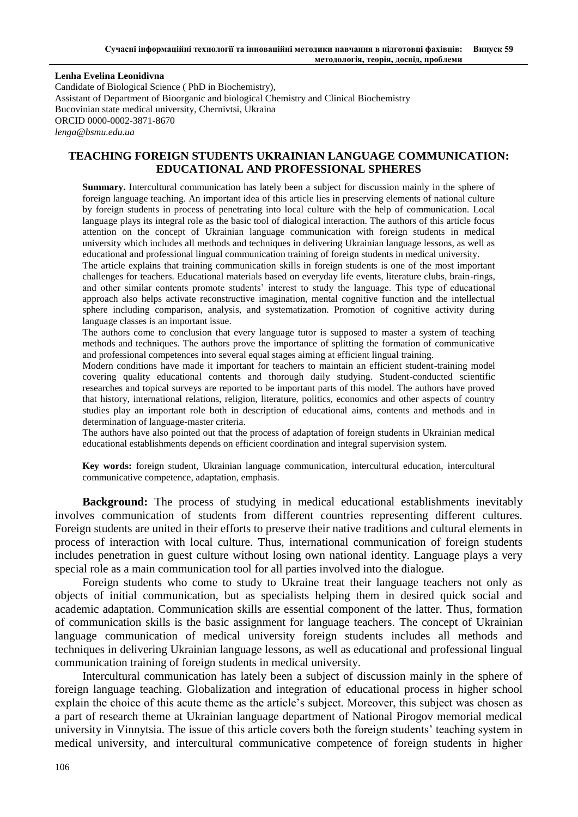**Lenha Evelina Leonidivna**

Candidate of Biological Science ( PhD in Biochemistry), Assistant of Department of Bioorganic and biological Chemistry and Clinical Biochemistry Bucovinian state medical university, Chernivtsi, Ukraina ORCID 0000-0002-3871-8670 *[lenga@bsmu.edu.ua](mailto:lenga@bsmu.edu.ua)*

## **TEACHING FOREIGN STUDENTS UKRAINIAN LANGUAGE COMMUNICATION: EDUCATIONAL AND PROFESSIONAL SPHERES**

**Summary.** Intercultural communication has lately been a subject for discussion mainly in the sphere of foreign language teaching. An important idea of this article lies in preserving elements of national culture by foreign students in process of penetrating into local culture with the help of communication. Local language plays its integral role as the basic tool of dialogical interaction. The authors of this article focus attention on the concept of Ukrainian language communication with foreign students in medical university which includes all methods and techniques in delivering Ukrainian language lessons, as well as educational and professional lingual communication training of foreign students in medical university.

The article explains that training communication skills in foreign students is one of the most important challenges for teachers. Educational materials based on everyday life events, literature clubs, brain-rings, and other similar contents promote students' interest to study the language. This type of educational approach also helps activate reconstructive imagination, mental cognitive function and the intellectual sphere including comparison, analysis, and systematization. Promotion of cognitive activity during language classes is an important issue.

The authors come to conclusion that every language tutor is supposed to master a system of teaching methods and techniques. The authors prove the importance of splitting the formation of communicative and professional competences into several equal stages aiming at efficient lingual training.

Modern conditions have made it important for teachers to maintain an efficient student-training model covering quality educational contents and thorough daily studying. Student-conducted scientific researches and topical surveys are reported to be important parts of this model. The authors have proved that history, international relations, religion, literature, politics, economics and other aspects of country studies play an important role both in description of educational aims, contents and methods and in determination of language-master criteria.

The authors have also pointed out that the process of adaptation of foreign students in Ukrainian medical educational establishments depends on efficient coordination and integral supervision system.

**Key words:** foreign student, Ukrainian language communication, intercultural education, intercultural communicative competence, adaptation, emphasis.

**Background:** The process of studying in medical educational establishments inevitably involves communication of students from different countries representing different cultures. Foreign students are united in their efforts to preserve their native traditions and cultural elements in process of interaction with local culture. Thus, international communication of foreign students includes penetration in guest culture without losing own national identity. Language plays a very special role as a main communication tool for all parties involved into the dialogue.

Foreign students who come to study to Ukraine treat their language teachers not only as objects of initial communication, but as specialists helping them in desired quick social and academic adaptation. Communication skills are essential component of the latter. Thus, formation of communication skills is the basic assignment for language teachers. The concept of Ukrainian language communication of medical university foreign students includes all methods and techniques in delivering Ukrainian language lessons, as well as educational and professional lingual communication training of foreign students in medical university.

Intercultural communication has lately been a subject of discussion mainly in the sphere of foreign language teaching. Globalization and integration of educational process in higher school explain the choice of this acute theme as the article's subject. Moreover, this subject was chosen as a part of research theme at Ukrainian language department of National Pirogov memorial medical university in Vinnytsia. The issue of this article covers both the foreign students' teaching system in medical university, and intercultural communicative competence of foreign students in higher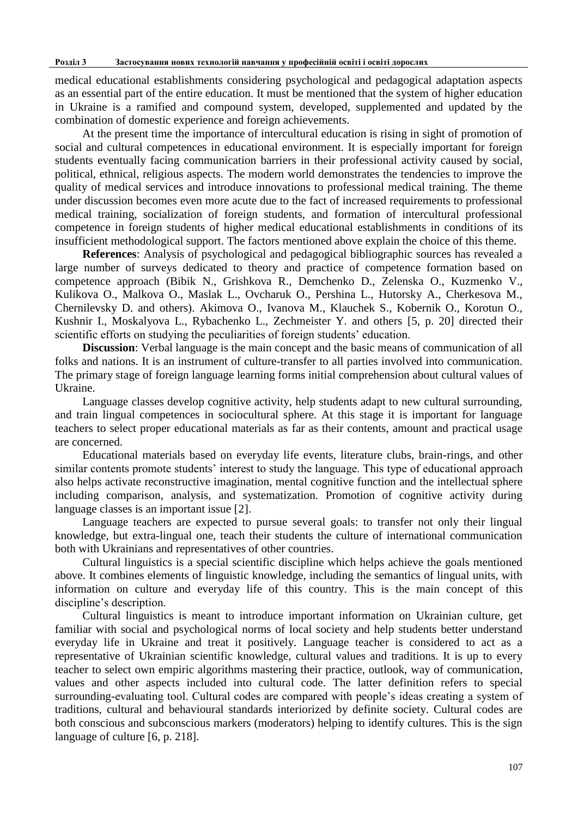medical educational establishments considering psychological and pedagogical adaptation aspects as an essential part of the entire education. It must be mentioned that the system of higher education in Ukraine is a ramified and compound system, developed, supplemented and updated by the combination of domestic experience and foreign achievements.

At the present time the importance of intercultural education is rising in sight of promotion of social and cultural competences in educational environment. It is especially important for foreign students eventually facing communication barriers in their professional activity caused by social, political, ethnical, religious aspects. The modern world demonstrates the tendencies to improve the quality of medical services and introduce innovations to professional medical training. The theme under discussion becomes even more acute due to the fact of increased requirements to professional medical training, socialization of foreign students, and formation of intercultural professional competence in foreign students of higher medical educational establishments in conditions of its insufficient methodological support. The factors mentioned above explain the choice of this theme.

**References**: Analysis of psychological and pedagogical bibliographic sources has revealed a large number of surveys dedicated to theory and practice of competence formation based on competence approach (Bibik N., Grishkova R., Demchenko D., Zelenska O., Kuzmenko V., Kulikova O., Malkova O., Maslak L., Ovcharuk O., Pershina L., Hutorsky A., Cherkesova M., Chernilevsky D. and others). Akimova O., Ivanova M., Klauchek S., Kobernik O., Korotun O., Kushnir I., Moskalyova L., Rybachenko L., Zechmeister Y. and others [5, p. 20] directed their scientific efforts on studying the peculiarities of foreign students' education.

**Discussion**: Verbal language is the main concept and the basic means of communication of all folks and nations. It is an instrument of culture-transfer to all parties involved into communication. The primary stage of foreign language learning forms initial comprehension about cultural values of Ukraine.

Language classes develop cognitive activity, help students adapt to new cultural surrounding, and train lingual competences in sociocultural sphere. At this stage it is important for language teachers to select proper educational materials as far as their contents, amount and practical usage are concerned.

Educational materials based on everyday life events, literature clubs, brain-rings, and other similar contents promote students' interest to study the language. This type of educational approach also helps activate reconstructive imagination, mental cognitive function and the intellectual sphere including comparison, analysis, and systematization. Promotion of cognitive activity during language classes is an important issue [2].

Language teachers are expected to pursue several goals: to transfer not only their lingual knowledge, but extra-lingual one, teach their students the culture of international communication both with Ukrainians and representatives of other countries.

Cultural linguistics is a special scientific discipline which helps achieve the goals mentioned above. It combines elements of linguistic knowledge, including the semantics of lingual units, with information on culture and everyday life of this country. This is the main concept of this discipline's description.

Cultural linguistics is meant to introduce important information on Ukrainian culture, get familiar with social and psychological norms of local society and help students better understand everyday life in Ukraine and treat it positively. Language teacher is considered to act as a representative of Ukrainian scientific knowledge, cultural values and traditions. It is up to every teacher to select own empiric algorithms mastering their practice, outlook, way of communication, values and other aspects included into cultural code. The latter definition refers to special surrounding-evaluating tool. Cultural codes are compared with people's ideas creating a system of traditions, cultural and behavioural standards interiorized by definite society. Cultural codes are both conscious and subconscious markers (moderators) helping to identify cultures. This is the sign language of culture [6, p. 218].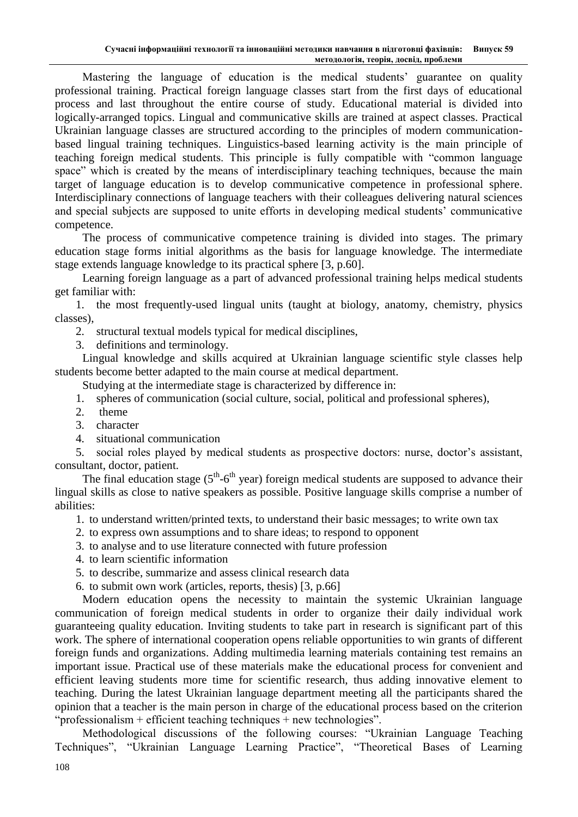Mastering the language of education is the medical students' guarantee on quality professional training. Practical foreign language classes start from the first days of educational process and last throughout the entire course of study. Educational material is divided into logically-arranged topics. Lingual and communicative skills are trained at aspect classes. Practical Ukrainian language classes are structured according to the principles of modern communicationbased lingual training techniques. Linguistics-based learning activity is the main principle of teaching foreign medical students. This principle is fully compatible with "common language space" which is created by the means of interdisciplinary teaching techniques, because the main target of language education is to develop communicative competence in professional sphere. Interdisciplinary connections of language teachers with their colleagues delivering natural sciences and special subjects are supposed to unite efforts in developing medical students' communicative competence.

The process of communicative competence training is divided into stages. The primary education stage forms initial algorithms as the basis for language knowledge. The intermediate stage extends language knowledge to its practical sphere [3, p.60].

Learning foreign language as a part of advanced professional training helps medical students get familiar with:

1. the most frequently-used lingual units (taught at biology, anatomy, chemistry, physics classes),

2. structural textual models typical for medical disciplines,

3. definitions and terminology.

Lingual knowledge and skills acquired at Ukrainian language scientific style classes help students become better adapted to the main course at medical department.

Studying at the intermediate stage is characterized by difference in:

- 1. spheres of communication (social culture, social, political and professional spheres),
- 2. theme
- 3. character
- 4. situational communication

5. social roles played by medical students as prospective doctors: nurse, doctor's assistant, consultant, doctor, patient.

The final education stage  $(5<sup>th</sup>-6<sup>th</sup>$  year) foreign medical students are supposed to advance their lingual skills as close to native speakers as possible. Positive language skills comprise a number of abilities:

1. to understand written/printed texts, to understand their basic messages; to write own tax

- 2. to express own assumptions and to share ideas; to respond to opponent
- 3. to analyse and to use literature connected with future profession
- 4. to learn scientific information
- 5. to describe, summarize and assess clinical research data
- 6. to submit own work (articles, reports, thesis) [3, p.66]

Modern education opens the necessity to maintain the systemic Ukrainian language communication of foreign medical students in order to organize their daily individual work guaranteeing quality education. Inviting students to take part in research is significant part of this work. The sphere of international cooperation opens reliable opportunities to win grants of different foreign funds and organizations. Adding multimedia learning materials containing test remains an important issue. Practical use of these materials make the educational process for convenient and efficient leaving students more time for scientific research, thus adding innovative element to teaching. During the latest Ukrainian language department meeting all the participants shared the opinion that a teacher is the main person in charge of the educational process based on the criterion "professionalism + efficient teaching techniques + new technologies".

Methodological discussions of the following courses: "Ukrainian Language Teaching Techniques", "Ukrainian Language Learning Practice", "Theoretical Bases of Learning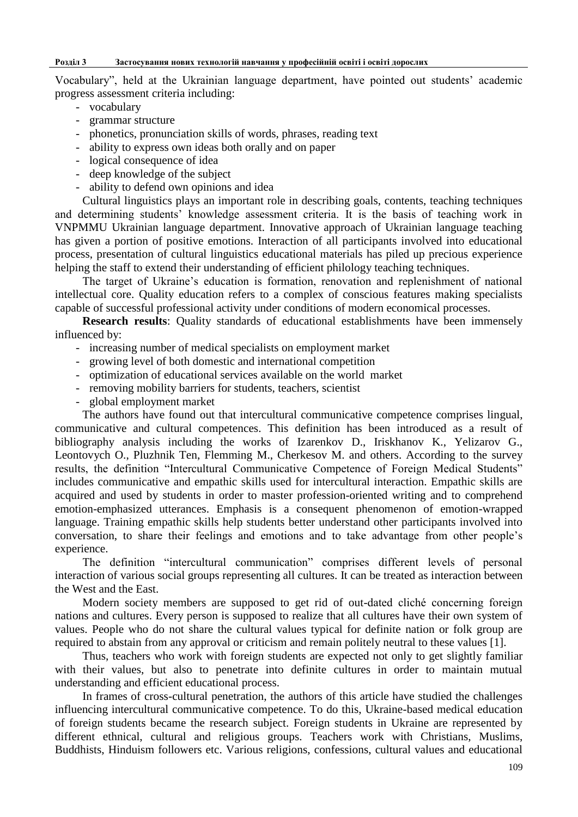### **Розділ 3 Застосування нових технологій навчання у професійній освіті і освіті дорослих**

Vocabulary", held at the Ukrainian language department, have pointed out students' academic progress assessment criteria including:

- vocabulary
- grammar structure
- phonetics, pronunciation skills of words, phrases, reading text
- ability to express own ideas both orally and on paper
- logical consequence of idea
- deep knowledge of the subject
- ability to defend own opinions and idea

Cultural linguistics plays an important role in describing goals, contents, teaching techniques and determining students' knowledge assessment criteria. It is the basis of teaching work in VNPMMU Ukrainian language department. Innovative approach of Ukrainian language teaching has given a portion of positive emotions. Interaction of all participants involved into educational process, presentation of cultural linguistics educational materials has piled up precious experience helping the staff to extend their understanding of efficient philology teaching techniques.

The target of Ukraine's education is formation, renovation and replenishment of national intellectual core. Quality education refers to a complex of conscious features making specialists capable of successful professional activity under conditions of modern economical processes.

**Research results**: Quality standards of educational establishments have been immensely influenced by:

- increasing number of medical specialists on employment market
- growing level of both domestic and international competition
- optimization of educational services available on the world market
- removing mobility barriers for students, teachers, scientist
- global employment market

The authors have found out that intercultural communicative competence comprises lingual, communicative and cultural competences. This definition has been introduced as a result of bibliography analysis including the works of Izarenkov D., Iriskhanov K., Yelizarov G., Leontovych O., Pluzhnik Ten, Flemming M., Cherkesov M. and others. According to the survey results, the definition "Intercultural Communicative Competence of Foreign Medical Students" includes communicative and empathic skills used for intercultural interaction. Empathic skills are acquired and used by students in order to master profession-oriented writing and to comprehend emotion-emphasized utterances. Emphasis is a consequent phenomenon of emotion-wrapped language. Training empathic skills help students better understand other participants involved into conversation, to share their feelings and emotions and to take advantage from other people's experience.

The definition "intercultural communication" comprises different levels of personal interaction of various social groups representing all cultures. It can be treated as interaction between the West and the East.

Modern society members are supposed to get rid of out-dated cliché concerning foreign nations and cultures. Every person is supposed to realize that all cultures have their own system of values. People who do not share the cultural values typical for definite nation or folk group are required to abstain from any approval or criticism and remain politely neutral to these values [1].

Thus, teachers who work with foreign students are expected not only to get slightly familiar with their values, but also to penetrate into definite cultures in order to maintain mutual understanding and efficient educational process.

In frames of cross-cultural penetration, the authors of this article have studied the challenges influencing intercultural communicative competence. To do this, Ukraine-based medical education of foreign students became the research subject. Foreign students in Ukraine are represented by different ethnical, cultural and religious groups. Teachers work with Christians, Muslims, Buddhists, Hinduism followers etc. Various religions, confessions, cultural values and educational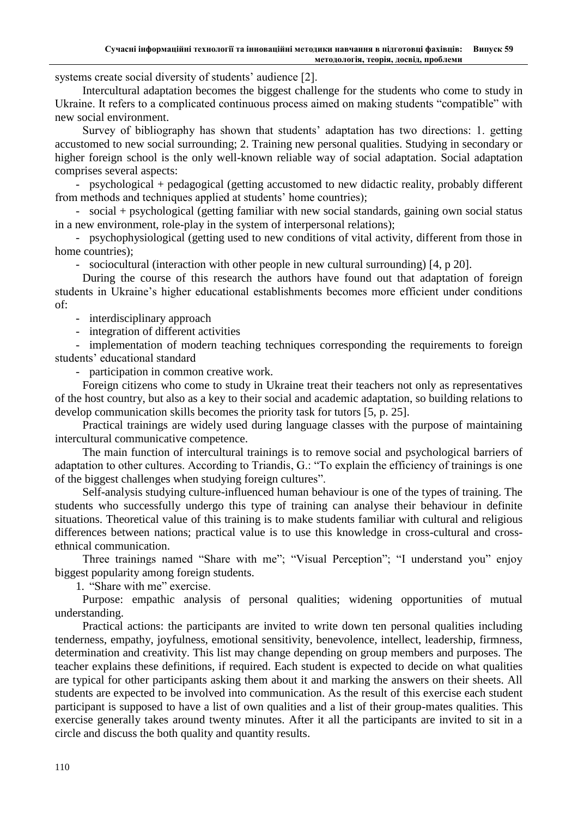systems create social diversity of students' audience [2].

Intercultural adaptation becomes the biggest challenge for the students who come to study in Ukraine. It refers to a complicated continuous process aimed on making students "compatible" with new social environment.

Survey of bibliography has shown that students' adaptation has two directions: 1. getting accustomed to new social surrounding; 2. Training new personal qualities. Studying in secondary or higher foreign school is the only well-known reliable way of social adaptation. Social adaptation comprises several aspects:

- psychological + pedagogical (getting accustomed to new didactic reality, probably different from methods and techniques applied at students' home countries);

- social + psychological (getting familiar with new social standards, gaining own social status in a new environment, role-play in the system of interpersonal relations);

- psychophysiological (getting used to new conditions of vital activity, different from those in home countries);

- sociocultural (interaction with other people in new cultural surrounding) [4, p 20].

During the course of this research the authors have found out that adaptation of foreign students in Ukraine's higher educational establishments becomes more efficient under conditions of:

- interdisciplinary approach

- integration of different activities

- implementation of modern teaching techniques corresponding the requirements to foreign students' educational standard

- participation in common creative work.

Foreign citizens who come to study in Ukraine treat their teachers not only as representatives of the host country, but also as a key to their social and academic adaptation, so building relations to develop communication skills becomes the priority task for tutors [5, p. 25].

Practical trainings are widely used during language classes with the purpose of maintaining intercultural communicative competence.

The main function of intercultural trainings is to remove social and psychological barriers of adaptation to other cultures. According to Triandis, G.: "To explain the efficiency of trainings is one of the biggest challenges when studying foreign cultures".

Self-analysis studying culture-influenced human behaviour is one of the types of training. The students who successfully undergo this type of training can analyse their behaviour in definite situations. Theoretical value of this training is to make students familiar with cultural and religious differences between nations; practical value is to use this knowledge in cross-cultural and crossethnical communication.

Three trainings named "Share with me"; "Visual Perception"; "I understand you" enjoy biggest popularity among foreign students.

1. "Share with me" exercise.

Purpose: empathic analysis of personal qualities; widening opportunities of mutual understanding.

Practical actions: the participants are invited to write down ten personal qualities including tenderness, empathy, joyfulness, emotional sensitivity, benevolence, intellect, leadership, firmness, determination and creativity. This list may change depending on group members and purposes. The teacher explains these definitions, if required. Each student is expected to decide on what qualities are typical for other participants asking them about it and marking the answers on their sheets. All students are expected to be involved into communication. As the result of this exercise each student participant is supposed to have a list of own qualities and a list of their group-mates qualities. This exercise generally takes around twenty minutes. After it all the participants are invited to sit in a circle and discuss the both quality and quantity results.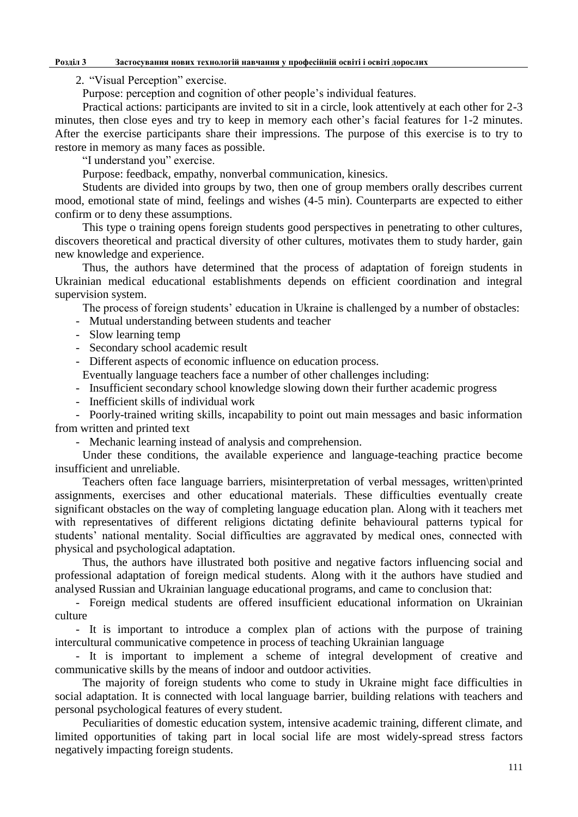### **Розділ 3 Застосування нових технологій навчання у професійній освіті і освіті дорослих**

2. "Visual Perception" exercise.

Purpose: perception and cognition of other people's individual features.

Practical actions: participants are invited to sit in a circle, look attentively at each other for 2-3 minutes, then close eyes and try to keep in memory each other's facial features for 1-2 minutes. After the exercise participants share their impressions. The purpose of this exercise is to try to restore in memory as many faces as possible.

"I understand you" exercise.

Purpose: feedback, empathy, nonverbal communication, kinesics.

Students are divided into groups by two, then one of group members orally describes current mood, emotional state of mind, feelings and wishes (4-5 min). Counterparts are expected to either confirm or to deny these assumptions.

This type o training opens foreign students good perspectives in penetrating to other cultures, discovers theoretical and practical diversity of other cultures, motivates them to study harder, gain new knowledge and experience.

Thus, the authors have determined that the process of adaptation of foreign students in Ukrainian medical educational establishments depends on efficient coordination and integral supervision system.

The process of foreign students' education in Ukraine is challenged by a number of obstacles:

- Mutual understanding between students and teacher

- Slow learning temp
- Secondary school academic result
- Different aspects of economic influence on education process.

Eventually language teachers face a number of other challenges including:

- Insufficient secondary school knowledge slowing down their further academic progress
- Inefficient skills of individual work

- Poorly-trained writing skills, incapability to point out main messages and basic information from written and printed text

- Mechanic learning instead of analysis and comprehension.

Under these conditions, the available experience and language-teaching practice become insufficient and unreliable.

Teachers often face language barriers, misinterpretation of verbal messages, written\printed assignments, exercises and other educational materials. These difficulties eventually create significant obstacles on the way of completing language education plan. Along with it teachers met with representatives of different religions dictating definite behavioural patterns typical for students' national mentality. Social difficulties are aggravated by medical ones, connected with physical and psychological adaptation.

Thus, the authors have illustrated both positive and negative factors influencing social and professional adaptation of foreign medical students. Along with it the authors have studied and analysed Russian and Ukrainian language educational programs, and came to conclusion that:

- Foreign medical students are offered insufficient educational information on Ukrainian culture

- It is important to introduce a complex plan of actions with the purpose of training intercultural communicative competence in process of teaching Ukrainian language

- It is important to implement a scheme of integral development of creative and communicative skills by the means of indoor and outdoor activities.

The majority of foreign students who come to study in Ukraine might face difficulties in social adaptation. It is connected with local language barrier, building relations with teachers and personal psychological features of every student.

Peculiarities of domestic education system, intensive academic training, different climate, and limited opportunities of taking part in local social life are most widely-spread stress factors negatively impacting foreign students.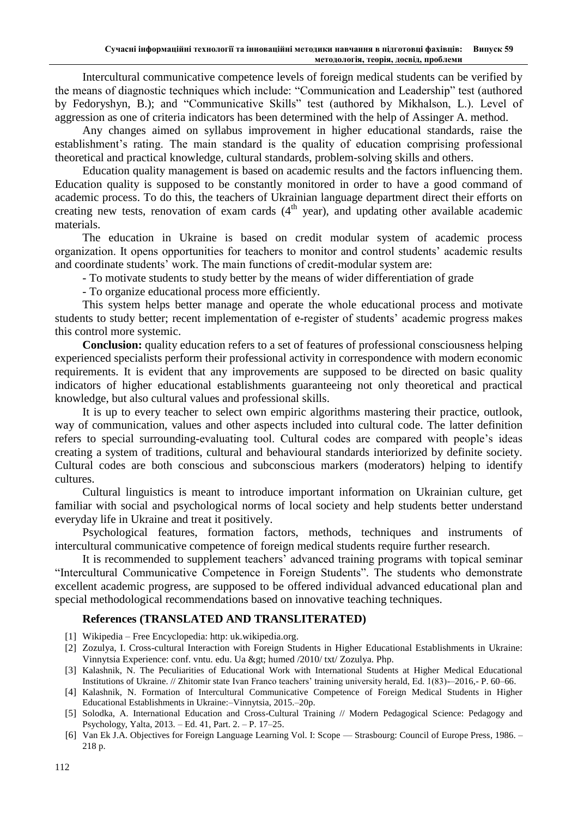Intercultural communicative competence levels of foreign medical students can be verified by the means of diagnostic techniques which include: "Communication and Leadership" test (authored by Fedoryshyn, B.); and "Communicative Skills" test (authored by Mikhalson, L.). Level of aggression as one of criteria indicators has been determined with the help of Assinger A. method.

Any changes aimed on syllabus improvement in higher educational standards, raise the establishment's rating. The main standard is the quality of education comprising professional theoretical and practical knowledge, cultural standards, problem-solving skills and others.

Education quality management is based on academic results and the factors influencing them. Education quality is supposed to be constantly monitored in order to have a good command of academic process. To do this, the teachers of Ukrainian language department direct their efforts on creating new tests, renovation of exam cards  $(4<sup>th</sup>$  year), and updating other available academic materials.

The education in Ukraine is based on credit modular system of academic process organization. It opens opportunities for teachers to monitor and control students' academic results and coordinate students' work. The main functions of credit-modular system are:

- To motivate students to study better by the means of wider differentiation of grade

- To organize educational process more efficiently.

This system helps better manage and operate the whole educational process and motivate students to study better; recent implementation of e-register of students' academic progress makes this control more systemic.

**Conclusion:** quality education refers to a set of features of professional consciousness helping experienced specialists perform their professional activity in correspondence with modern economic requirements. It is evident that any improvements are supposed to be directed on basic quality indicators of higher educational establishments guaranteeing not only theoretical and practical knowledge, but also cultural values and professional skills.

It is up to every teacher to select own empiric algorithms mastering their practice, outlook, way of communication, values and other aspects included into cultural code. The latter definition refers to special surrounding-evaluating tool. Cultural codes are compared with people's ideas creating a system of traditions, cultural and behavioural standards interiorized by definite society. Cultural codes are both conscious and subconscious markers (moderators) helping to identify cultures.

Cultural linguistics is meant to introduce important information on Ukrainian culture, get familiar with social and psychological norms of local society and help students better understand everyday life in Ukraine and treat it positively.

Psychological features, formation factors, methods, techniques and instruments of intercultural communicative competence of foreign medical students require further research.

It is recommended to supplement teachers' advanced training programs with topical seminar "Intercultural Communicative Competence in Foreign Students". The students who demonstrate excellent academic progress, are supposed to be offered individual advanced educational plan and special methodological recommendations based on innovative teaching techniques.

## **References (TRANSLATED AND TRANSLITERATED)**

- [1] Wikipedia Free Encyclopedia: http: uk.wikipedіa.org.
- [2] Zozulya, I. Cross-cultural Interaction with Foreign Students in Higher Educational Establishments in Ukraine: Vinnytsia Experience: conf. vntu. edu. Ua & gt: humed /2010/ txt/ Zozulya. Php.
- [3] Kalashnik, N. The Peculiarities of Educational Work with International Students at Higher Medical Educational Institutions of Ukraine. // Zhitomir state Ivan Franco teachers' training university herald, Ed. 1(83)-–2016,- P. 60–66.
- [4] Kalashnik, N. Formation of Intercultural Communicative Competence of Foreign Medical Students in Higher Educational Establishments in Ukraine:–Vinnytsia, 2015.–20p.
- [5] Solodka, A. International Education and Cross-Cultural Training // Modern Pedagogical Science: Pedagogy and Psychology, Yalta, 2013. – Ed. 41, Part. 2. – P. 17–25.
- [6] Van Ek J.A. Objectives for Foreign Language Learning Vol. I: Scope Strasbourg: Council of Europe Press, 1986. 218 p.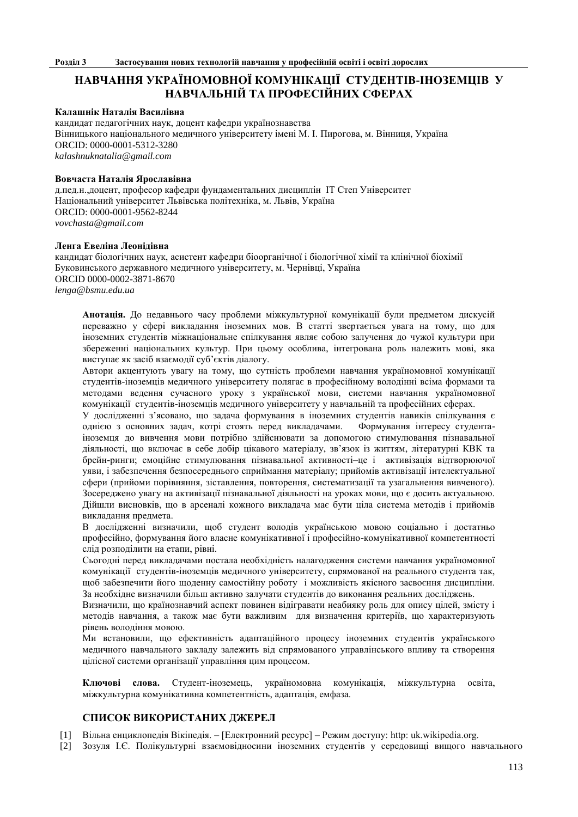# **НАВЧАННЯ УКРАЇНОМОВНОЇ КОМУНІКАЦІЇ СТУДЕНТІВ-ІНОЗЕМЦІВ У НАВЧАЛЬНІЙ ТА ПРОФЕСІЙНИХ СФЕРАХ**

### **Калашнік Наталія Василівна**

кандидат педагогічних наук, доцент кафедри українознавства Вінницького національного медичного університету імені М. І. Пирогова, м. Вінниця, Україна ORCID: 0000-0001-5312-3280 *[kalashnuknatalia@gmail.com](mailto:kalashnuknatalia@gmail.com)*

#### **Вовчаста Наталія Ярославівна**

д.пед.н.,доцент, професор кафедри фундаментальних дисциплін ІТ Степ Університет Національний університет Львівська політехніка, м. Львів, Україна ORCID: 0000-0001-9562-8244 *vovchasta@gmail.com*

#### **Ленга Евеліна Леонідівна**

кандидат біологічних наук, асистент кафедри біоорганічної і біологічної хімії та клінічної біохімії Буковинського державного медичного університету, м. Чернівці, Україна ORCID 0000-0002-3871-8670 *[lenga@bsmu.edu.ua](mailto:lenga@bsmu.edu.ua)*

**Анотація.** До недавнього часу проблеми міжкультурної комунікації були предметом дискусій переважно у сфері викладання іноземних мов. В статті звертається увага на тому, що для іноземних студентів міжнаціональне спілкування являє собою залучення до чужої культури при збереженні національних культур. При цьому особлива, інтегрована роль належить мові, яка виступає як засіб взаємодії суб'єктів діалогу.

Автори акцентують увагу на тому, що сутність проблеми навчання україномовної комунікації студентів-іноземців медичного університету полягає в професійному володінні всіма формами та методами ведення сучасного уроку з української мови, системи навчання україномовної комунікації студентів-іноземців медичного університету у навчальній та професійних сферах.

У дослідженні з'ясовано, що задача формування в іноземних студентів навиків спілкування є однією з основних задач, котрі стоять перед викладачами. Формування інтересу студентаіноземця до вивчення мови потрібно здійснювати за допомогою стимулювання пізнавальної діяльності, що включає в себе добір цікавого матеріалу, зв'язок із життям, літературні КВК та брейн-ринги; емоційне стимулювання пізнавальної активності–це і активізація відтворюючої уяви, і забезпечення безпосереднього сприймання матеріалу; прийомів активізації інтелектуальної сфери (прийоми порівняння, зіставлення, повторення, систематизації та узагальнення вивченого). Зосереджено увагу на активізації пізнавальної діяльності на уроках мови, що є досить актуальною. Дійшли висновків, що в арсеналі кожного викладача має бути ціла система методів і прийомів викладання предмета.

В дослідженні визначили, щоб студент володів українською мовою соціально і достатньо професійно, формування його власне комунікативної і професійно-комунікативної компетентності слід розподілити на етапи, рівні.

Сьогодні перед викладачами постала необхідність налагодження системи навчання україномовної комунікації студентів-іноземців медичного університету, спрямованої на реального студента так, щоб забезпечити його щоденну самостійну роботу і можливість якісного засвоєння дисципліни. За необхідне визначили більш активно залучати студентів до виконання реальних досліджень.

Визначили, що країнознавчий аспект повинен відігравати неабияку роль для опису цілей, змісту і методів навчання, а також має бути важливим для визначення критеріїв, що характеризують рівень володіння мовою.

Ми встановили, що ефективність адаптаційного процесу іноземних студентів українського медичного навчального закладу залежить від спрямованого управлінського впливу та створення цілісної системи організації управління цим процесом.

**Ключові слова.** Студент-іноземець, україномовна комунікація, міжкультурна освіта, міжкультурна комунікативна компетентність, адаптація, емфаза.

### **СПИСОК ВИКОРИСТАНИХ ДЖЕРЕЛ**

- [1] Вільна енциклопедія Вікіпедія. [Електронний ресурс] Режим доступу: http: uk.wikipedіa.org.
- [2] Зозуля І.Є. Полікультурні взаємовідносини іноземних студентів у середовищі вищого навчального